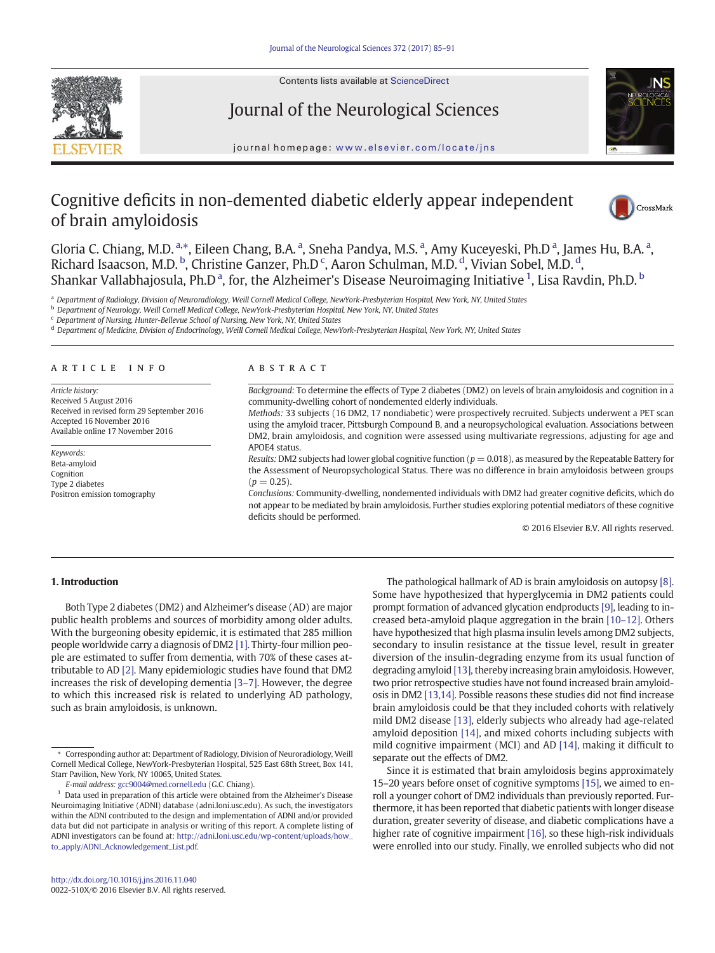

Contents lists available at ScienceDirect

# Journal of the Neurological Sciences



# Cognitive deficits in non-demented diabetic elderly appear independent of brain amyloidosis





Gloria C. Chiang, M.D.<sup>a,\*</sup>, Eileen Chang, B.A.<sup>a</sup>, Sneha Pandya, M.S.<sup>a</sup>, Amy Kuceyeski, Ph.D<sup>a</sup>, James Hu, B.A.<sup>a</sup>, Richard Isaacson, M.D. b, Christine Ganzer, Ph.D<sup>c</sup>, Aaron Schulman, M.D. <sup>d</sup>, Vivian Sobel, M.D. <sup>d</sup>, Shankar Vallabhajosula, Ph.D<sup>.a</sup>, for, the Alzheimer's Disease Neuroimaging Initiative <sup>1</sup>, Lisa Ravdin, Ph.D.  $^{\rm b}$ 

<sup>a</sup> Department of Radiology, Division of Neuroradiology, Weill Cornell Medical College, NewYork-Presbyterian Hospital, New York, NY, United States

<sup>b</sup> Department of Neurology, Weill Cornell Medical College, NewYork-Presbyterian Hospital, New York, NY, United States

<sup>c</sup> Department of Nursing, Hunter-Bellevue School of Nursing, New York, NY, United States

<sup>d</sup> Department of Medicine, Division of Endocrinology, Weill Cornell Medical College, NewYork-Presbyterian Hospital, New York, NY, United States

#### article info abstract

Article history: Received 5 August 2016 Received in revised form 29 September 2016 Accepted 16 November 2016 Available online 17 November 2016

Keywords: Beta-amyloid Cognition Type 2 diabetes Positron emission tomography

Background: To determine the effects of Type 2 diabetes (DM2) on levels of brain amyloidosis and cognition in a community-dwelling cohort of nondemented elderly individuals.

Methods: 33 subjects (16 DM2, 17 nondiabetic) were prospectively recruited. Subjects underwent a PET scan using the amyloid tracer, Pittsburgh Compound B, and a neuropsychological evaluation. Associations between DM2, brain amyloidosis, and cognition were assessed using multivariate regressions, adjusting for age and APOE4 status.

Results: DM2 subjects had lower global cognitive function ( $p = 0.018$ ), as measured by the Repeatable Battery for the Assessment of Neuropsychological Status. There was no difference in brain amyloidosis between groups  $(p = 0.25)$ .

Conclusions: Community-dwelling, nondemented individuals with DM2 had greater cognitive deficits, which do not appear to be mediated by brain amyloidosis. Further studies exploring potential mediators of these cognitive deficits should be performed.

© 2016 Elsevier B.V. All rights reserved.

## 1. Introduction

Both Type 2 diabetes (DM2) and Alzheimer's disease (AD) are major public health problems and sources of morbidity among older adults. With the burgeoning obesity epidemic, it is estimated that 285 million people worldwide carry a diagnosis of DM2 [\[1\]](#page-5-0). Thirty-four million people are estimated to suffer from dementia, with 70% of these cases attributable to AD [\[2\].](#page-5-0) Many epidemiologic studies have found that DM2 increases the risk of developing dementia [\[3](#page-5-0)–7]. However, the degree to which this increased risk is related to underlying AD pathology, such as brain amyloidosis, is unknown.

E-mail address: [gcc9004@med.cornell.edu](mailto:gcc9004@med.cornell.edu) (G.C. Chiang).

The pathological hallmark of AD is brain amyloidosis on autopsy [\[8\].](#page-5-0) Some have hypothesized that hyperglycemia in DM2 patients could prompt formation of advanced glycation endproducts [\[9\],](#page-5-0) leading to increased beta-amyloid plaque aggregation in the brain [10–[12\].](#page-5-0) Others have hypothesized that high plasma insulin levels among DM2 subjects, secondary to insulin resistance at the tissue level, result in greater diversion of the insulin-degrading enzyme from its usual function of degrading amyloid [\[13\]](#page-5-0), thereby increasing brain amyloidosis. However, two prior retrospective studies have not found increased brain amyloidosis in DM2 [\[13,14\].](#page-5-0) Possible reasons these studies did not find increase brain amyloidosis could be that they included cohorts with relatively mild DM2 disease [\[13\],](#page-5-0) elderly subjects who already had age-related amyloid deposition [\[14\]](#page-5-0), and mixed cohorts including subjects with mild cognitive impairment (MCI) and AD [\[14\],](#page-5-0) making it difficult to separate out the effects of DM2.

Since it is estimated that brain amyloidosis begins approximately 15–20 years before onset of cognitive symptoms [\[15\]](#page-5-0), we aimed to enroll a younger cohort of DM2 individuals than previously reported. Furthermore, it has been reported that diabetic patients with longer disease duration, greater severity of disease, and diabetic complications have a higher rate of cognitive impairment [\[16\],](#page-5-0) so these high-risk individuals were enrolled into our study. Finally, we enrolled subjects who did not

<sup>⁎</sup> Corresponding author at: Department of Radiology, Division of Neuroradiology, Weill Cornell Medical College, NewYork-Presbyterian Hospital, 525 East 68th Street, Box 141, Starr Pavilion, New York, NY 10065, United States.

<sup>1</sup> Data used in preparation of this article were obtained from the Alzheimer's Disease Neuroimaging Initiative (ADNI) database (adni.loni.usc.edu). As such, the investigators within the ADNI contributed to the design and implementation of ADNI and/or provided data but did not participate in analysis or writing of this report. A complete listing of ADNI investigators can be found at: [http://adni.loni.usc.edu/wp-content/uploads/how\\_](http://adni.loni.usc.edu/wp-content/uploads/how_to_apply/ADNI_Acknowledgement_List.pdf) [to\\_apply/ADNI\\_Acknowledgement\\_List.pdf.](http://adni.loni.usc.edu/wp-content/uploads/how_to_apply/ADNI_Acknowledgement_List.pdf)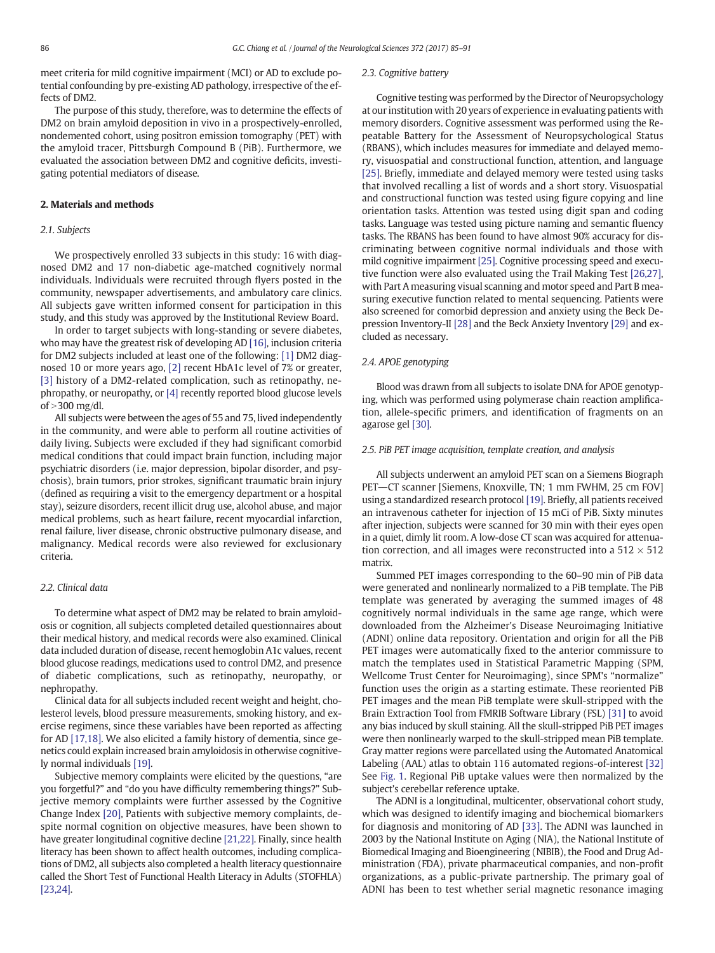meet criteria for mild cognitive impairment (MCI) or AD to exclude potential confounding by pre-existing AD pathology, irrespective of the effects of DM2.

The purpose of this study, therefore, was to determine the effects of DM2 on brain amyloid deposition in vivo in a prospectively-enrolled, nondemented cohort, using positron emission tomography (PET) with the amyloid tracer, Pittsburgh Compound B (PiB). Furthermore, we evaluated the association between DM2 and cognitive deficits, investigating potential mediators of disease.

#### 2. Materials and methods

## 2.1. Subjects

We prospectively enrolled 33 subjects in this study: 16 with diagnosed DM2 and 17 non-diabetic age-matched cognitively normal individuals. Individuals were recruited through flyers posted in the community, newspaper advertisements, and ambulatory care clinics. All subjects gave written informed consent for participation in this study, and this study was approved by the Institutional Review Board.

In order to target subjects with long-standing or severe diabetes, who may have the greatest risk of developing AD [\[16\]](#page-5-0), inclusion criteria for DM2 subjects included at least one of the following: [\[1\]](#page-5-0) DM2 diagnosed 10 or more years ago, [\[2\]](#page-5-0) recent HbA1c level of 7% or greater, [\[3\]](#page-5-0) history of a DM2-related complication, such as retinopathy, nephropathy, or neuropathy, or [\[4\]](#page-5-0) recently reported blood glucose levels of  $>$  300 mg/dl.

All subjects were between the ages of 55 and 75, lived independently in the community, and were able to perform all routine activities of daily living. Subjects were excluded if they had significant comorbid medical conditions that could impact brain function, including major psychiatric disorders (i.e. major depression, bipolar disorder, and psychosis), brain tumors, prior strokes, significant traumatic brain injury (defined as requiring a visit to the emergency department or a hospital stay), seizure disorders, recent illicit drug use, alcohol abuse, and major medical problems, such as heart failure, recent myocardial infarction, renal failure, liver disease, chronic obstructive pulmonary disease, and malignancy. Medical records were also reviewed for exclusionary criteria.

#### 2.2. Clinical data

To determine what aspect of DM2 may be related to brain amyloidosis or cognition, all subjects completed detailed questionnaires about their medical history, and medical records were also examined. Clinical data included duration of disease, recent hemoglobin A1c values, recent blood glucose readings, medications used to control DM2, and presence of diabetic complications, such as retinopathy, neuropathy, or nephropathy.

Clinical data for all subjects included recent weight and height, cholesterol levels, blood pressure measurements, smoking history, and exercise regimens, since these variables have been reported as affecting for AD [\[17,18\]](#page-5-0). We also elicited a family history of dementia, since genetics could explain increased brain amyloidosis in otherwise cognitively normal individuals [\[19\]](#page-5-0).

Subjective memory complaints were elicited by the questions, "are you forgetful?" and "do you have difficulty remembering things?" Subjective memory complaints were further assessed by the Cognitive Change Index [\[20\],](#page-5-0) Patients with subjective memory complaints, despite normal cognition on objective measures, have been shown to have greater longitudinal cognitive decline [\[21,22\].](#page-5-0) Finally, since health literacy has been shown to affect health outcomes, including complications of DM2, all subjects also completed a health literacy questionnaire called the Short Test of Functional Health Literacy in Adults (STOFHLA) [\[23,24\].](#page-5-0)

#### 2.3. Cognitive battery

Cognitive testing was performed by the Director of Neuropsychology at our institution with 20 years of experience in evaluating patients with memory disorders. Cognitive assessment was performed using the Repeatable Battery for the Assessment of Neuropsychological Status (RBANS), which includes measures for immediate and delayed memory, visuospatial and constructional function, attention, and language [\[25\]](#page-5-0). Briefly, immediate and delayed memory were tested using tasks that involved recalling a list of words and a short story. Visuospatial and constructional function was tested using figure copying and line orientation tasks. Attention was tested using digit span and coding tasks. Language was tested using picture naming and semantic fluency tasks. The RBANS has been found to have almost 90% accuracy for discriminating between cognitive normal individuals and those with mild cognitive impairment [\[25\]](#page-5-0). Cognitive processing speed and executive function were also evaluated using the Trail Making Test [\[26,27\],](#page-5-0) with Part A measuring visual scanning and motor speed and Part B measuring executive function related to mental sequencing. Patients were also screened for comorbid depression and anxiety using the Beck Depression Inventory-II [\[28\]](#page-5-0) and the Beck Anxiety Inventory [\[29\]](#page-5-0) and excluded as necessary.

#### 2.4. APOE genotyping

Blood was drawn from all subjects to isolate DNA for APOE genotyping, which was performed using polymerase chain reaction amplification, allele-specific primers, and identification of fragments on an agarose gel [\[30\].](#page-5-0)

#### 2.5. PiB PET image acquisition, template creation, and analysis

All subjects underwent an amyloid PET scan on a Siemens Biograph PET-CT scanner [Siemens, Knoxville, TN; 1 mm FWHM, 25 cm FOV] using a standardized research protocol [\[19\].](#page-5-0) Briefly, all patients received an intravenous catheter for injection of 15 mCi of PiB. Sixty minutes after injection, subjects were scanned for 30 min with their eyes open in a quiet, dimly lit room. A low-dose CT scan was acquired for attenuation correction, and all images were reconstructed into a  $512 \times 512$ matrix.

Summed PET images corresponding to the 60–90 min of PiB data were generated and nonlinearly normalized to a PiB template. The PiB template was generated by averaging the summed images of 48 cognitively normal individuals in the same age range, which were downloaded from the Alzheimer's Disease Neuroimaging Initiative (ADNI) online data repository. Orientation and origin for all the PiB PET images were automatically fixed to the anterior commissure to match the templates used in Statistical Parametric Mapping (SPM, Wellcome Trust Center for Neuroimaging), since SPM's "normalize" function uses the origin as a starting estimate. These reoriented PiB PET images and the mean PiB template were skull-stripped with the Brain Extraction Tool from FMRIB Software Library (FSL) [\[31\]](#page-5-0) to avoid any bias induced by skull staining. All the skull-stripped PiB PET images were then nonlinearly warped to the skull-stripped mean PiB template. Gray matter regions were parcellated using the Automated Anatomical Labeling (AAL) atlas to obtain 116 automated regions-of-interest [\[32\]](#page-5-0) See [Fig. 1.](#page-2-0) Regional PiB uptake values were then normalized by the subject's cerebellar reference uptake.

The ADNI is a longitudinal, multicenter, observational cohort study, which was designed to identify imaging and biochemical biomarkers for diagnosis and monitoring of AD [\[33\]](#page-5-0). The ADNI was launched in 2003 by the National Institute on Aging (NIA), the National Institute of Biomedical Imaging and Bioengineering (NIBIB), the Food and Drug Administration (FDA), private pharmaceutical companies, and non-profit organizations, as a public-private partnership. The primary goal of ADNI has been to test whether serial magnetic resonance imaging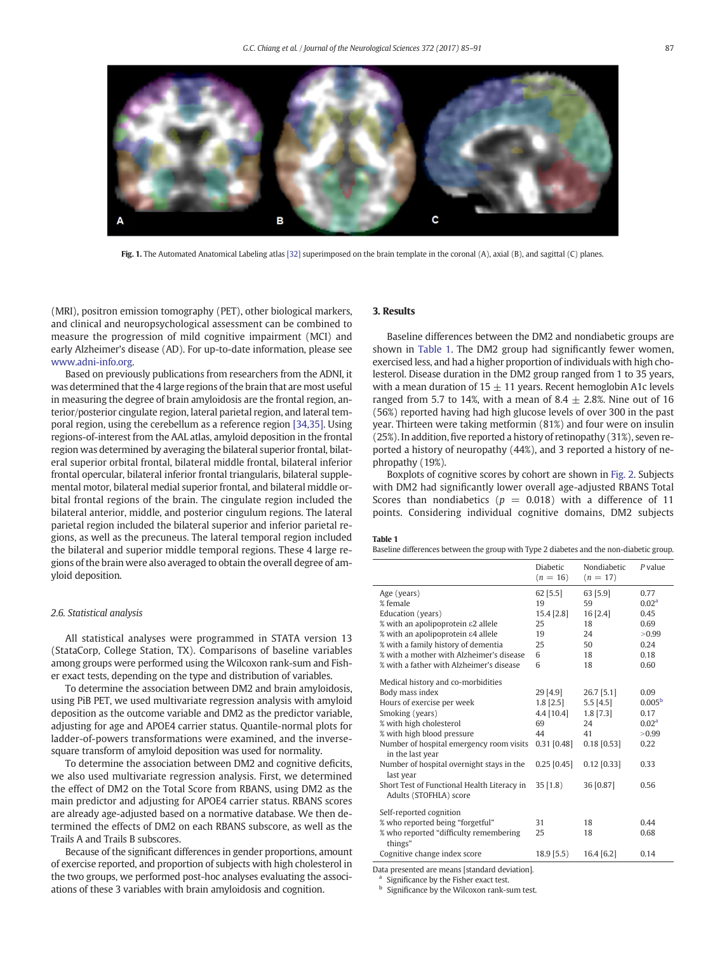<span id="page-2-0"></span>

Fig. 1. The Automated Anatomical Labeling atlas [\[32\]](#page-5-0) superimposed on the brain template in the coronal (A), axial (B), and sagittal (C) planes.

(MRI), positron emission tomography (PET), other biological markers, and clinical and neuropsychological assessment can be combined to measure the progression of mild cognitive impairment (MCI) and early Alzheimer's disease (AD). For up-to-date information, please see [www.adni-info.org](http://www.adni-info.org).

Based on previously publications from researchers from the ADNI, it was determined that the 4 large regions of the brain that are most useful in measuring the degree of brain amyloidosis are the frontal region, anterior/posterior cingulate region, lateral parietal region, and lateral temporal region, using the cerebellum as a reference region [\[34,35\]](#page-6-0). Using regions-of-interest from the AAL atlas, amyloid deposition in the frontal region was determined by averaging the bilateral superior frontal, bilateral superior orbital frontal, bilateral middle frontal, bilateral inferior frontal opercular, bilateral inferior frontal triangularis, bilateral supplemental motor, bilateral medial superior frontal, and bilateral middle orbital frontal regions of the brain. The cingulate region included the bilateral anterior, middle, and posterior cingulum regions. The lateral parietal region included the bilateral superior and inferior parietal regions, as well as the precuneus. The lateral temporal region included the bilateral and superior middle temporal regions. These 4 large regions of the brain were also averaged to obtain the overall degree of amyloid deposition.

#### 2.6. Statistical analysis

All statistical analyses were programmed in STATA version 13 (StataCorp, College Station, TX). Comparisons of baseline variables among groups were performed using the Wilcoxon rank-sum and Fisher exact tests, depending on the type and distribution of variables.

To determine the association between DM2 and brain amyloidosis, using PiB PET, we used multivariate regression analysis with amyloid deposition as the outcome variable and DM2 as the predictor variable, adjusting for age and APOE4 carrier status. Quantile-normal plots for ladder-of-powers transformations were examined, and the inversesquare transform of amyloid deposition was used for normality.

To determine the association between DM2 and cognitive deficits, we also used multivariate regression analysis. First, we determined the effect of DM2 on the Total Score from RBANS, using DM2 as the main predictor and adjusting for APOE4 carrier status. RBANS scores are already age-adjusted based on a normative database. We then determined the effects of DM2 on each RBANS subscore, as well as the Trails A and Trails B subscores.

Because of the significant differences in gender proportions, amount of exercise reported, and proportion of subjects with high cholesterol in the two groups, we performed post-hoc analyses evaluating the associations of these 3 variables with brain amyloidosis and cognition.

## 3. Results

Baseline differences between the DM2 and nondiabetic groups are shown in Table 1. The DM2 group had significantly fewer women, exercised less, and had a higher proportion of individuals with high cholesterol. Disease duration in the DM2 group ranged from 1 to 35 years, with a mean duration of  $15 \pm 11$  years. Recent hemoglobin A1c levels ranged from 5.7 to 14%, with a mean of 8.4  $\pm$  2.8%. Nine out of 16 (56%) reported having had high glucose levels of over 300 in the past year. Thirteen were taking metformin (81%) and four were on insulin (25%). In addition, five reported a history of retinopathy (31%), seven reported a history of neuropathy (44%), and 3 reported a history of nephropathy (19%).

Boxplots of cognitive scores by cohort are shown in [Fig. 2.](#page-3-0) Subjects with DM2 had significantly lower overall age-adjusted RBANS Total Scores than nondiabetics ( $p = 0.018$ ) with a difference of 11 points. Considering individual cognitive domains, DM2 subjects

#### Table 1

Baseline differences between the group with Type 2 diabetes and the non-diabetic group.

|                                                                       | <b>Diabetic</b><br>$(n = 16)$ | Nondiabetic<br>$(n = 17)$ | P value            |
|-----------------------------------------------------------------------|-------------------------------|---------------------------|--------------------|
| Age (years)                                                           | $62$ [5.5]                    | 63 [5.9]                  | 0.77               |
| % female                                                              | 19                            | 59                        | 0.02 <sup>a</sup>  |
| Education (years)                                                     | 15.4 [2.8]                    | 16 [2.4]                  | 0.45               |
| % with an apolipoprotein $\epsilon$ 2 allele                          | 25                            | 18                        | 0.69               |
| % with an apolipoprotein $\varepsilon$ 4 allele                       | 19                            | 24                        | >0.99              |
| % with a family history of dementia                                   | 25                            | 50                        | 0.24               |
| % with a mother with Alzheimer's disease                              | 6                             | 18                        | 0.18               |
| % with a father with Alzheimer's disease                              | 6                             | 18                        | 0.60               |
| Medical history and co-morbidities                                    |                               |                           |                    |
| Body mass index                                                       | 29 [4.9]                      | $26.7$ [5.1]              | 0.09               |
| Hours of exercise per week                                            | $1.8$ [2.5]                   | $5.5$ [4.5]               | 0.005 <sup>b</sup> |
| Smoking (years)                                                       | 4.4 [10.4]                    | $1.8$ [7.3]               | 0.17               |
| % with high cholesterol                                               | 69                            | 24                        | 0.02 <sup>a</sup>  |
| % with high blood pressure                                            | 44                            | 41                        | >0.99              |
| Number of hospital emergency room visits<br>in the last year          | $0.31$ [0.48]                 | $0.18$ [0.53]             | 0.22               |
| Number of hospital overnight stays in the<br>last year                | $0.25$ [0.45]                 | $0.12$ [0.33]             | 0.33               |
| Short Test of Functional Health Literacy in<br>Adults (STOFHLA) score | 35[1.8]                       | 36 [0.87]                 | 0.56               |
| Self-reported cognition                                               |                               |                           |                    |
| % who reported being "forgetful"                                      | 31                            | 18                        | 0.44               |
| % who reported "difficulty remembering<br>things"                     | 25                            | 18                        | 0.68               |
| Cognitive change index score                                          | $18.9$ [5.5)                  | 16.4 [6.2]                | 0.14               |
| Data presented are means [standard deviation].                        |                               |                           |                    |

<sup>a</sup> Significance by the Fisher exact test.

Significance by the Wilcoxon rank-sum test.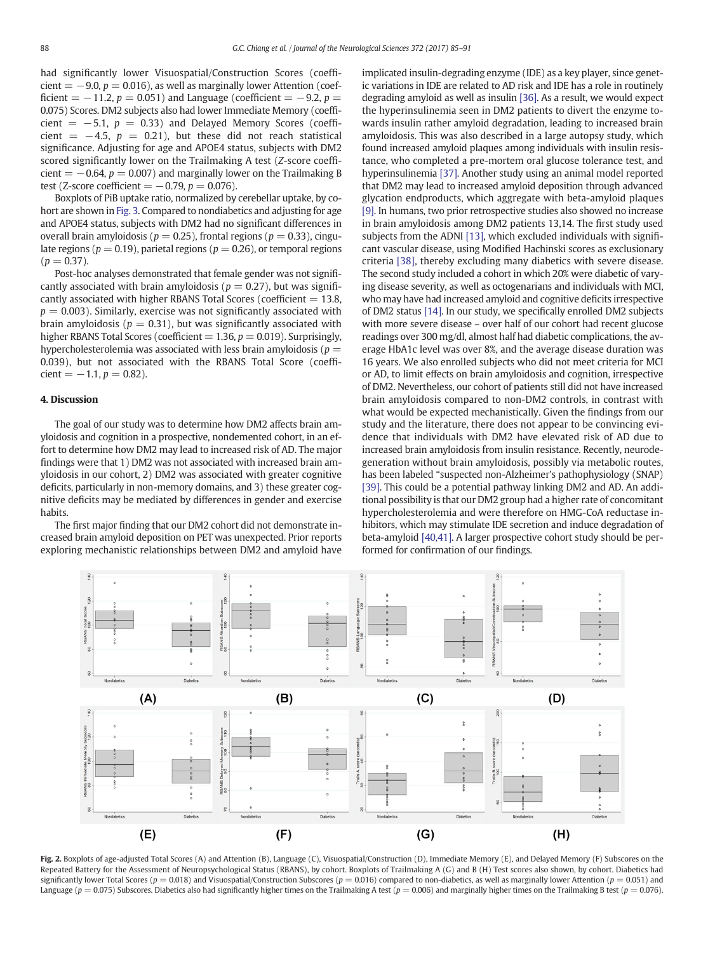<span id="page-3-0"></span>had significantly lower Visuospatial/Construction Scores (coefficient  $= -9.0, p = 0.016$ ), as well as marginally lower Attention (coefficient  $=$   $-11.2$ ,  $p = 0.051$ ) and Language (coefficient  $=$   $-9.2$ ,  $p =$ 0.075) Scores. DM2 subjects also had lower Immediate Memory (coefficient =  $-5.1$ ,  $p = 0.33$ ) and Delayed Memory Scores (coefficient =  $-4.5$ ,  $p = 0.21$ ), but these did not reach statistical significance. Adjusting for age and APOE4 status, subjects with DM2 scored significantly lower on the Trailmaking A test (Z-score coefficient =  $-0.64$ ,  $p = 0.007$ ) and marginally lower on the Trailmaking B test (Z-score coefficient =  $-0.79$ ,  $p = 0.076$ ).

Boxplots of PiB uptake ratio, normalized by cerebellar uptake, by cohort are shown in [Fig. 3.](#page-4-0) Compared to nondiabetics and adjusting for age and APOE4 status, subjects with DM2 had no significant differences in overall brain amyloidosis ( $p = 0.25$ ), frontal regions ( $p = 0.33$ ), cingulate regions ( $p = 0.19$ ), parietal regions ( $p = 0.26$ ), or temporal regions  $(p = 0.37)$ .

Post-hoc analyses demonstrated that female gender was not significantly associated with brain amyloidosis ( $p = 0.27$ ), but was significantly associated with higher RBANS Total Scores (coefficient  $= 13.8$ ,  $p = 0.003$ ). Similarly, exercise was not significantly associated with brain amyloidosis ( $p = 0.31$ ), but was significantly associated with higher RBANS Total Scores (coefficient  $= 1.36$ ,  $p = 0.019$ ). Surprisingly, hypercholesterolemia was associated with less brain amyloidosis ( $p =$ 0.039), but not associated with the RBANS Total Score (coeffi $cient = -1.1, p = 0.82$ ).

#### 4. Discussion

The goal of our study was to determine how DM2 affects brain amyloidosis and cognition in a prospective, nondemented cohort, in an effort to determine how DM2 may lead to increased risk of AD. The major findings were that 1) DM2 was not associated with increased brain amyloidosis in our cohort, 2) DM2 was associated with greater cognitive deficits, particularly in non-memory domains, and 3) these greater cognitive deficits may be mediated by differences in gender and exercise habits.

The first major finding that our DM2 cohort did not demonstrate increased brain amyloid deposition on PET was unexpected. Prior reports exploring mechanistic relationships between DM2 and amyloid have implicated insulin-degrading enzyme (IDE) as a key player, since genetic variations in IDE are related to AD risk and IDE has a role in routinely degrading amyloid as well as insulin [\[36\]](#page-6-0). As a result, we would expect the hyperinsulinemia seen in DM2 patients to divert the enzyme towards insulin rather amyloid degradation, leading to increased brain amyloidosis. This was also described in a large autopsy study, which found increased amyloid plaques among individuals with insulin resistance, who completed a pre-mortem oral glucose tolerance test, and hyperinsulinemia [\[37\].](#page-6-0) Another study using an animal model reported that DM2 may lead to increased amyloid deposition through advanced glycation endproducts, which aggregate with beta-amyloid plaques [\[9\].](#page-5-0) In humans, two prior retrospective studies also showed no increase in brain amyloidosis among DM2 patients 13,14. The first study used subjects from the ADNI [\[13\],](#page-5-0) which excluded individuals with significant vascular disease, using Modified Hachinski scores as exclusionary criteria [\[38\],](#page-6-0) thereby excluding many diabetics with severe disease. The second study included a cohort in which 20% were diabetic of varying disease severity, as well as octogenarians and individuals with MCI, who may have had increased amyloid and cognitive deficits irrespective of DM2 status [\[14\].](#page-5-0) In our study, we specifically enrolled DM2 subjects with more severe disease – over half of our cohort had recent glucose readings over 300 mg/dl, almost half had diabetic complications, the average HbA1c level was over 8%, and the average disease duration was 16 years. We also enrolled subjects who did not meet criteria for MCI or AD, to limit effects on brain amyloidosis and cognition, irrespective of DM2. Nevertheless, our cohort of patients still did not have increased brain amyloidosis compared to non-DM2 controls, in contrast with what would be expected mechanistically. Given the findings from our study and the literature, there does not appear to be convincing evidence that individuals with DM2 have elevated risk of AD due to increased brain amyloidosis from insulin resistance. Recently, neurodegeneration without brain amyloidosis, possibly via metabolic routes, has been labeled "suspected non-Alzheimer's pathophysiology (SNAP) [\[39\]](#page-6-0). This could be a potential pathway linking DM2 and AD. An additional possibility is that our DM2 group had a higher rate of concomitant hypercholesterolemia and were therefore on HMG-CoA reductase inhibitors, which may stimulate IDE secretion and induce degradation of beta-amyloid [\[40,41\]](#page-6-0). A larger prospective cohort study should be performed for confirmation of our findings.



Fig. 2. Boxplots of age-adjusted Total Scores (A) and Attention (B), Language (C), Visuospatial/Construction (D), Immediate Memory (E), and Delayed Memory (F) Subscores on the Repeated Battery for the Assessment of Neuropsychological Status (RBANS), by cohort. Boxplots of Trailmaking A (G) and B (H) Test scores also shown, by cohort. Diabetics had significantly lower Total Scores ( $p = 0.018$ ) and Visuospatial/Construction Subscores ( $p = 0.016$ ) compared to non-diabetics, as well as marginally lower Attention ( $p = 0.051$ ) and Language ( $p = 0.075$ ) Subscores. Diabetics also had significantly higher times on the Trailmaking A test ( $p = 0.006$ ) and marginally higher times on the Trailmaking B test ( $p = 0.076$ ).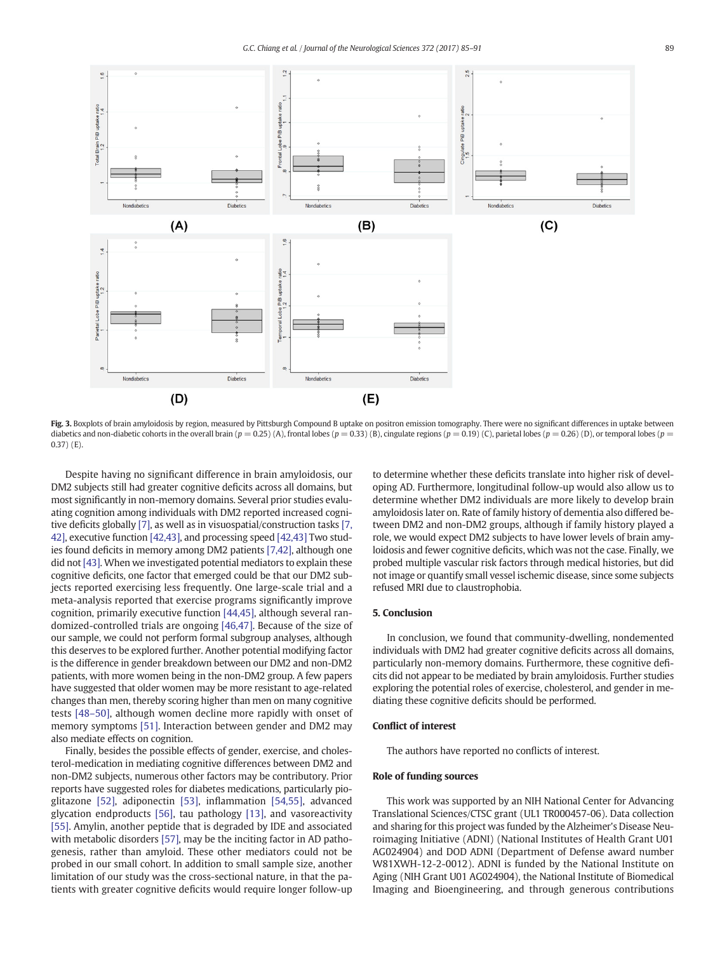<span id="page-4-0"></span>

Fig. 3. Boxplots of brain amyloidosis by region, measured by Pittsburgh Compound B uptake on positron emission tomography. There were no significant differences in uptake between diabetics and non-diabetic cohorts in the overall brain ( $p = 0.25$ ) (A), frontal lobes ( $p = 0.33$ ) (B), cingulate regions ( $p = 0.19$ ) (C), parietal lobes ( $p = 0.26$ ) (D), or temporal lobes ( $p = 0.26$ ) 0.37) (E).

Despite having no significant difference in brain amyloidosis, our DM2 subjects still had greater cognitive deficits across all domains, but most significantly in non-memory domains. Several prior studies evaluating cognition among individuals with DM2 reported increased cognitive deficits globally [\[7\]](#page-5-0), as well as in visuospatial/construction tasks [\[7,](#page-5-0) [42\]](#page-5-0), executive function [\[42,43\],](#page-6-0) and processing speed [\[42,43\]](#page-6-0) Two studies found deficits in memory among DM2 patients [\[7,42\],](#page-5-0) although one did not [\[43\]](#page-6-0). When we investigated potential mediators to explain these cognitive deficits, one factor that emerged could be that our DM2 subjects reported exercising less frequently. One large-scale trial and a meta-analysis reported that exercise programs significantly improve cognition, primarily executive function [\[44,45\],](#page-6-0) although several randomized-controlled trials are ongoing [\[46,47\].](#page-6-0) Because of the size of our sample, we could not perform formal subgroup analyses, although this deserves to be explored further. Another potential modifying factor is the difference in gender breakdown between our DM2 and non-DM2 patients, with more women being in the non-DM2 group. A few papers have suggested that older women may be more resistant to age-related changes than men, thereby scoring higher than men on many cognitive tests [\[48](#page-6-0)–50], although women decline more rapidly with onset of memory symptoms [\[51\].](#page-6-0) Interaction between gender and DM2 may also mediate effects on cognition.

Finally, besides the possible effects of gender, exercise, and cholesterol-medication in mediating cognitive differences between DM2 and non-DM2 subjects, numerous other factors may be contributory. Prior reports have suggested roles for diabetes medications, particularly pioglitazone [\[52\],](#page-6-0) adiponectin [\[53\]](#page-6-0), inflammation [\[54,55\]](#page-6-0), advanced glycation endproducts [\[56\]](#page-6-0), tau pathology [\[13\],](#page-5-0) and vasoreactivity [\[55\]](#page-6-0). Amylin, another peptide that is degraded by IDE and associated with metabolic disorders [\[57\],](#page-6-0) may be the inciting factor in AD pathogenesis, rather than amyloid. These other mediators could not be probed in our small cohort. In addition to small sample size, another limitation of our study was the cross-sectional nature, in that the patients with greater cognitive deficits would require longer follow-up to determine whether these deficits translate into higher risk of developing AD. Furthermore, longitudinal follow-up would also allow us to determine whether DM2 individuals are more likely to develop brain amyloidosis later on. Rate of family history of dementia also differed between DM2 and non-DM2 groups, although if family history played a role, we would expect DM2 subjects to have lower levels of brain amyloidosis and fewer cognitive deficits, which was not the case. Finally, we probed multiple vascular risk factors through medical histories, but did not image or quantify small vessel ischemic disease, since some subjects refused MRI due to claustrophobia.

# 5. Conclusion

In conclusion, we found that community-dwelling, nondemented individuals with DM2 had greater cognitive deficits across all domains, particularly non-memory domains. Furthermore, these cognitive deficits did not appear to be mediated by brain amyloidosis. Further studies exploring the potential roles of exercise, cholesterol, and gender in mediating these cognitive deficits should be performed.

#### Conflict of interest

The authors have reported no conflicts of interest.

#### Role of funding sources

This work was supported by an NIH National Center for Advancing Translational Sciences/CTSC grant (UL1 TR000457-06). Data collection and sharing for this project was funded by the Alzheimer's Disease Neuroimaging Initiative (ADNI) (National Institutes of Health Grant U01 AG024904) and DOD ADNI (Department of Defense award number W81XWH-12-2-0012). ADNI is funded by the National Institute on Aging (NIH Grant U01 AG024904), the National Institute of Biomedical Imaging and Bioengineering, and through generous contributions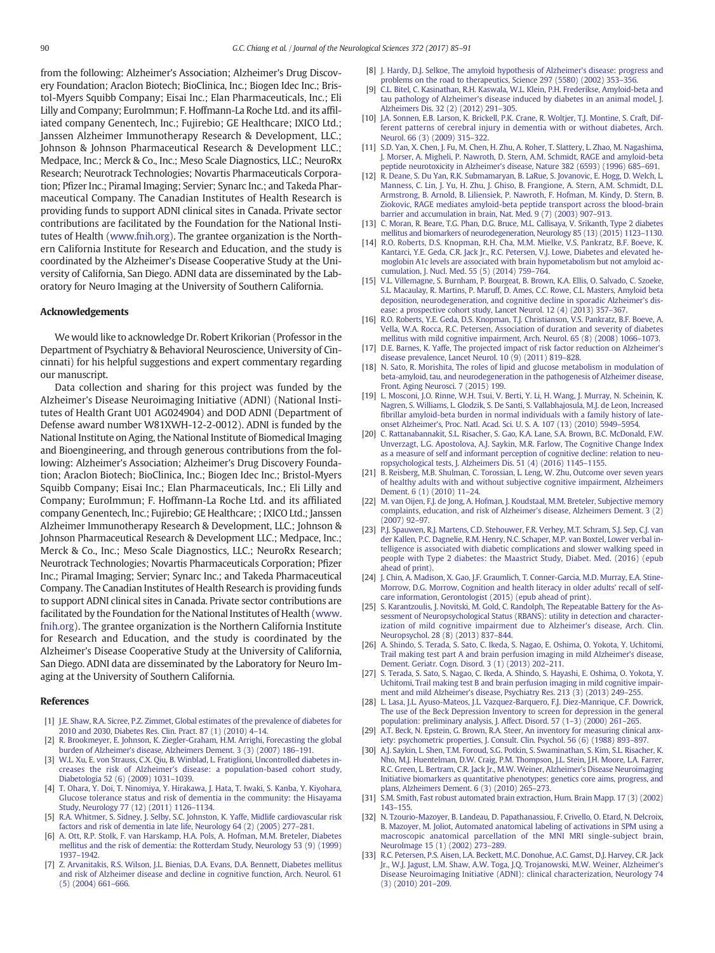<span id="page-5-0"></span>from the following: Alzheimer's Association; Alzheimer's Drug Discovery Foundation; Araclon Biotech; BioClinica, Inc.; Biogen Idec Inc.; Bristol-Myers Squibb Company; Eisai Inc.; Elan Pharmaceuticals, Inc.; Eli Lilly and Company; EuroImmun; F. Hoffmann-La Roche Ltd. and its affiliated company Genentech, Inc.; Fujirebio; GE Healthcare; IXICO Ltd.; Janssen Alzheimer Immunotherapy Research & Development, LLC.; Johnson & Johnson Pharmaceutical Research & Development LLC.; Medpace, Inc.; Merck & Co., Inc.; Meso Scale Diagnostics, LLC.; NeuroRx Research; Neurotrack Technologies; Novartis Pharmaceuticals Corporation; Pfizer Inc.; Piramal Imaging; Servier; Synarc Inc.; and Takeda Pharmaceutical Company. The Canadian Institutes of Health Research is providing funds to support ADNI clinical sites in Canada. Private sector contributions are facilitated by the Foundation for the National Institutes of Health ([www.fnih.org](http://www.fnih.org)). The grantee organization is the Northern California Institute for Research and Education, and the study is coordinated by the Alzheimer's Disease Cooperative Study at the University of California, San Diego. ADNI data are disseminated by the Laboratory for Neuro Imaging at the University of Southern California.

#### Acknowledgements

We would like to acknowledge Dr. Robert Krikorian (Professor in the Department of Psychiatry & Behavioral Neuroscience, University of Cincinnati) for his helpful suggestions and expert commentary regarding our manuscript.

Data collection and sharing for this project was funded by the Alzheimer's Disease Neuroimaging Initiative (ADNI) (National Institutes of Health Grant U01 AG024904) and DOD ADNI (Department of Defense award number W81XWH-12-2-0012). ADNI is funded by the National Institute on Aging, the National Institute of Biomedical Imaging and Bioengineering, and through generous contributions from the following: Alzheimer's Association; Alzheimer's Drug Discovery Foundation; Araclon Biotech; BioClinica, Inc.; Biogen Idec Inc.; Bristol-Myers Squibb Company; Eisai Inc.; Elan Pharmaceuticals, Inc.; Eli Lilly and Company; EuroImmun; F. Hoffmann-La Roche Ltd. and its affiliated company Genentech, Inc.; Fujirebio; GE Healthcare; ; IXICO Ltd.; Janssen Alzheimer Immunotherapy Research & Development, LLC.; Johnson & Johnson Pharmaceutical Research & Development LLC.; Medpace, Inc.; Merck & Co., Inc.; Meso Scale Diagnostics, LLC.; NeuroRx Research; Neurotrack Technologies; Novartis Pharmaceuticals Corporation; Pfizer Inc.; Piramal Imaging; Servier; Synarc Inc.; and Takeda Pharmaceutical Company. The Canadian Institutes of Health Research is providing funds to support ADNI clinical sites in Canada. Private sector contributions are facilitated by the Foundation for the National Institutes of Health ([www.](http://www.fnih.org) [fnih.org\)](http://www.fnih.org). The grantee organization is the Northern California Institute for Research and Education, and the study is coordinated by the Alzheimer's Disease Cooperative Study at the University of California, San Diego. ADNI data are disseminated by the Laboratory for Neuro Imaging at the University of Southern California.

#### References

- [1] [J.E. Shaw, R.A. Sicree, P.Z. Zimmet, Global estimates of the prevalence of diabetes for](http://refhub.elsevier.com/S0022-510X(16)30743-2/rf0005) [2010 and 2030, Diabetes Res. Clin. Pract. 87 \(1\) \(2010\) 4](http://refhub.elsevier.com/S0022-510X(16)30743-2/rf0005)–14.
- [2] [R. Brookmeyer, E. Johnson, K. Ziegler-Graham, H.M. Arrighi, Forecasting the global](http://refhub.elsevier.com/S0022-510X(16)30743-2/rf0010) [burden of Alzheimer's disease, Alzheimers Dement. 3 \(3\) \(2007\) 186](http://refhub.elsevier.com/S0022-510X(16)30743-2/rf0010)–191.
- [3] [W.L. Xu, E. von Strauss, C.X. Qiu, B. Winblad, L. Fratiglioni, Uncontrolled diabetes in](http://refhub.elsevier.com/S0022-510X(16)30743-2/rf0015)[creases the risk of Alzheimer's disease: a population-based cohort study,](http://refhub.elsevier.com/S0022-510X(16)30743-2/rf0015) [Diabetologia 52 \(6\) \(2009\) 1031](http://refhub.elsevier.com/S0022-510X(16)30743-2/rf0015)–1039.
- [4] [T. Ohara, Y. Doi, T. Ninomiya, Y. Hirakawa, J. Hata, T. Iwaki, S. Kanba, Y. Kiyohara,](http://refhub.elsevier.com/S0022-510X(16)30743-2/rf0020) [Glucose tolerance status and risk of dementia in the community: the Hisayama](http://refhub.elsevier.com/S0022-510X(16)30743-2/rf0020) [Study, Neurology 77 \(12\) \(2011\) 1126](http://refhub.elsevier.com/S0022-510X(16)30743-2/rf0020)–1134.
- [5] [R.A. Whitmer, S. Sidney, J. Selby, S.C. Johnston, K. Yaffe, Midlife cardiovascular risk](http://refhub.elsevier.com/S0022-510X(16)30743-2/rf0025) [factors and risk of dementia in late life, Neurology 64 \(2\) \(2005\) 277](http://refhub.elsevier.com/S0022-510X(16)30743-2/rf0025)–281.
- [6] [A. Ott, R.P. Stolk, F. van Harskamp, H.A. Pols, A. Hofman, M.M. Breteler, Diabetes](http://refhub.elsevier.com/S0022-510X(16)30743-2/rf0030) [mellitus and the risk of dementia: the Rotterdam Study, Neurology 53 \(9\) \(1999\)](http://refhub.elsevier.com/S0022-510X(16)30743-2/rf0030) [1937](http://refhub.elsevier.com/S0022-510X(16)30743-2/rf0030)–1942.
- [7] [Z. Arvanitakis, R.S. Wilson, J.L. Bienias, D.A. Evans, D.A. Bennett, Diabetes mellitus](http://refhub.elsevier.com/S0022-510X(16)30743-2/rf0035) [and risk of Alzheimer disease and decline in cognitive function, Arch. Neurol. 61](http://refhub.elsevier.com/S0022-510X(16)30743-2/rf0035) [\(5\) \(2004\) 661](http://refhub.elsevier.com/S0022-510X(16)30743-2/rf0035)–666.
- [8] [J. Hardy, D.J. Selkoe, The amyloid hypothesis of Alzheimer's disease: progress and](http://refhub.elsevier.com/S0022-510X(16)30743-2/rf0040) [problems on the road to therapeutics, Science 297 \(5580\) \(2002\) 353](http://refhub.elsevier.com/S0022-510X(16)30743-2/rf0040)–356.
- [9] [C.L. Bitel, C. Kasinathan, R.H. Kaswala, W.L. Klein, P.H. Frederikse, Amyloid-beta and](http://refhub.elsevier.com/S0022-510X(16)30743-2/rf0045) [tau pathology of Alzheimer's disease induced by diabetes in an animal model, J.](http://refhub.elsevier.com/S0022-510X(16)30743-2/rf0045) [Alzheimers Dis. 32 \(2\) \(2012\) 291](http://refhub.elsevier.com/S0022-510X(16)30743-2/rf0045)–305.
- [10] [J.A. Sonnen, E.B. Larson, K. Brickell, P.K. Crane, R. Woltjer, T.J. Montine, S. Craft, Dif](http://refhub.elsevier.com/S0022-510X(16)30743-2/rf0050)[ferent patterns of cerebral injury in dementia with or without diabetes, Arch.](http://refhub.elsevier.com/S0022-510X(16)30743-2/rf0050) [Neurol. 66 \(3\) \(2009\) 315](http://refhub.elsevier.com/S0022-510X(16)30743-2/rf0050)–322.
- [11] [S.D. Yan, X. Chen, J. Fu, M. Chen, H. Zhu, A. Roher, T. Slattery, L. Zhao, M. Nagashima,](http://refhub.elsevier.com/S0022-510X(16)30743-2/rf0055) [J. Morser, A. Migheli, P. Nawroth, D. Stern, A.M. Schmidt, RAGE and amyloid-beta](http://refhub.elsevier.com/S0022-510X(16)30743-2/rf0055) [peptide neurotoxicity in Alzheimer's disease, Nature 382 \(6593\) \(1996\) 685](http://refhub.elsevier.com/S0022-510X(16)30743-2/rf0055)–691.
- [12] [R. Deane, S. Du Yan, R.K. Submamaryan, B. LaRue, S. Jovanovic, E. Hogg, D. Welch, L.](http://refhub.elsevier.com/S0022-510X(16)30743-2/rf0060) [Manness, C. Lin, J. Yu, H. Zhu, J. Ghiso, B. Frangione, A. Stern, A.M. Schmidt, D.L.](http://refhub.elsevier.com/S0022-510X(16)30743-2/rf0060) [Armstrong, B. Arnold, B. Liliensiek, P. Nawroth, F. Hofman, M. Kindy, D. Stern, B.](http://refhub.elsevier.com/S0022-510X(16)30743-2/rf0060) [Ziokovic, RAGE mediates amyloid-beta peptide transport across the blood-brain](http://refhub.elsevier.com/S0022-510X(16)30743-2/rf0060) [barrier and accumulation in brain, Nat. Med. 9 \(7\) \(2003\) 907](http://refhub.elsevier.com/S0022-510X(16)30743-2/rf0060)–913.
- [13] [C. Moran, R. Beare, T.G. Phan, D.G. Bruce, M.L. Callisaya, V. Srikanth, Type 2 diabetes](http://refhub.elsevier.com/S0022-510X(16)30743-2/rf0065) [mellitus and biomarkers of neurodegeneration, Neurology 85 \(13\) \(2015\) 1123](http://refhub.elsevier.com/S0022-510X(16)30743-2/rf0065)–1130.
- [14] [R.O. Roberts, D.S. Knopman, R.H. Cha, M.M. Mielke, V.S. Pankratz, B.F. Boeve, K.](http://refhub.elsevier.com/S0022-510X(16)30743-2/rf0070) [Kantarci, Y.E. Geda, C.R. Jack Jr., R.C. Petersen, V.J. Lowe, Diabetes and elevated he](http://refhub.elsevier.com/S0022-510X(16)30743-2/rf0070)[moglobin A1c levels are associated with brain hypometabolism but not amyloid ac](http://refhub.elsevier.com/S0022-510X(16)30743-2/rf0070)[cumulation, J. Nucl. Med. 55 \(5\) \(2014\) 759](http://refhub.elsevier.com/S0022-510X(16)30743-2/rf0070)–764.
- [15] [V.L. Villemagne, S. Burnham, P. Bourgeat, B. Brown, K.A. Ellis, O. Salvado, C. Szoeke,](http://refhub.elsevier.com/S0022-510X(16)30743-2/rf0075) [S.L. Macaulay, R. Martins, P. Maruff, D. Ames, C.C. Rowe, C.L. Masters, Amyloid beta](http://refhub.elsevier.com/S0022-510X(16)30743-2/rf0075) [deposition, neurodegeneration, and cognitive decline in sporadic Alzheimer's dis](http://refhub.elsevier.com/S0022-510X(16)30743-2/rf0075)[ease: a prospective cohort study, Lancet Neurol. 12 \(4\) \(2013\) 357](http://refhub.elsevier.com/S0022-510X(16)30743-2/rf0075)–367.
- [16] [R.O. Roberts, Y.E. Geda, D.S. Knopman, T.J. Christianson, V.S. Pankratz, B.F. Boeve, A.](http://refhub.elsevier.com/S0022-510X(16)30743-2/rf0080) [Vella, W.A. Rocca, R.C. Petersen, Association of duration and severity of diabetes](http://refhub.elsevier.com/S0022-510X(16)30743-2/rf0080) [mellitus with mild cognitive impairment, Arch. Neurol. 65 \(8\) \(2008\) 1066](http://refhub.elsevier.com/S0022-510X(16)30743-2/rf0080)–1073.
- [17] [D.E. Barnes, K. Yaffe, The projected impact of risk factor reduction on Alzheimer's](http://refhub.elsevier.com/S0022-510X(16)30743-2/rf0085) [disease prevalence, Lancet Neurol. 10 \(9\) \(2011\) 819](http://refhub.elsevier.com/S0022-510X(16)30743-2/rf0085)–828.
- [18] [N. Sato, R. Morishita, The roles of lipid and glucose metabolism in modulation of](http://refhub.elsevier.com/S0022-510X(16)30743-2/rf0090) [beta-amyloid, tau, and neurodegeneration in the pathogenesis of Alzheimer disease,](http://refhub.elsevier.com/S0022-510X(16)30743-2/rf0090) [Front. Aging Neurosci. 7 \(2015\) 199.](http://refhub.elsevier.com/S0022-510X(16)30743-2/rf0090)
- [19] [L. Mosconi, J.O. Rinne, W.H. Tsui, V. Berti, Y. Li, H. Wang, J. Murray, N. Scheinin, K.](http://refhub.elsevier.com/S0022-510X(16)30743-2/rf0095) [Nagren, S. Williams, L. Glodzik, S. De Santi, S. Vallabhajosula, M.J. de Leon, Increased](http://refhub.elsevier.com/S0022-510X(16)30743-2/rf0095) fi[brillar amyloid-beta burden in normal individuals with a family history of late](http://refhub.elsevier.com/S0022-510X(16)30743-2/rf0095)[onset Alzheimer's, Proc. Natl. Acad. Sci. U. S. A. 107 \(13\) \(2010\) 5949](http://refhub.elsevier.com/S0022-510X(16)30743-2/rf0095)–5954.
- [20] [C. Rattanabannakit, S.L. Risacher, S. Gao, K.A. Lane, S.A. Brown, B.C. McDonald, F.W.](http://refhub.elsevier.com/S0022-510X(16)30743-2/rf0100) [Unverzagt, L.G. Apostolova, A.J. Saykin, M.R. Farlow, The Cognitive Change Index](http://refhub.elsevier.com/S0022-510X(16)30743-2/rf0100) [as a measure of self and informant perception of cognitive decline: relation to neu](http://refhub.elsevier.com/S0022-510X(16)30743-2/rf0100)[ropsychological tests, J. Alzheimers Dis. 51 \(4\) \(2016\) 1145](http://refhub.elsevier.com/S0022-510X(16)30743-2/rf0100)–1155.
- [21] [B. Reisberg, M.B. Shulman, C. Torossian, L. Leng, W. Zhu, Outcome over seven years](http://refhub.elsevier.com/S0022-510X(16)30743-2/rf0105) [of healthy adults with and without subjective cognitive impairment, Alzheimers](http://refhub.elsevier.com/S0022-510X(16)30743-2/rf0105) [Dement. 6 \(1\) \(2010\) 11](http://refhub.elsevier.com/S0022-510X(16)30743-2/rf0105)–24.
- [22] [M. van Oijen, F.J. de Jong, A. Hofman, J. Koudstaal, M.M. Breteler, Subjective memory](http://refhub.elsevier.com/S0022-510X(16)30743-2/rf0110) [complaints, education, and risk of Alzheimer's disease, Alzheimers Dement. 3 \(2\)](http://refhub.elsevier.com/S0022-510X(16)30743-2/rf0110) [\(2007\) 92](http://refhub.elsevier.com/S0022-510X(16)30743-2/rf0110)–97.
- [23] [P.J. Spauwen, R.J. Martens, C.D. Stehouwer, F.R. Verhey, M.T. Schram, S.J. Sep, C.J. van](http://refhub.elsevier.com/S0022-510X(16)30743-2/rf0115) [der Kallen, P.C. Dagnelie, R.M. Henry, N.C. Schaper, M.P. van Boxtel, Lower verbal in](http://refhub.elsevier.com/S0022-510X(16)30743-2/rf0115)[telligence is associated with diabetic complications and slower walking speed in](http://refhub.elsevier.com/S0022-510X(16)30743-2/rf0115) [people with Type 2 diabetes: the Maastrict Study, Diabet. Med. \(2016\) \(epub](http://refhub.elsevier.com/S0022-510X(16)30743-2/rf0115) [ahead of print\)](http://refhub.elsevier.com/S0022-510X(16)30743-2/rf0115).
- [24] [J. Chin, A. Madison, X. Gao, J.F. Graumlich, T. Conner-Garcia, M.D. Murray, E.A. Stine-](http://refhub.elsevier.com/S0022-510X(16)30743-2/rf0120)[Morrow, D.G. Morrow, Cognition and health literacy in older adults' recall of self](http://refhub.elsevier.com/S0022-510X(16)30743-2/rf0120)[care information, Gerontologist \(2015\) \(epub ahead of print\)](http://refhub.elsevier.com/S0022-510X(16)30743-2/rf0120).
- [25] [S. Karantzoulis, J. Novitski, M. Gold, C. Randolph, The Repeatable Battery for the As](http://refhub.elsevier.com/S0022-510X(16)30743-2/rf0125)[sessment of Neuropsychological Status \(RBANS\): utility in detection and character](http://refhub.elsevier.com/S0022-510X(16)30743-2/rf0125)[ization of mild cognitive impairment due to Alzheimer's disease, Arch. Clin.](http://refhub.elsevier.com/S0022-510X(16)30743-2/rf0125) [Neuropsychol. 28 \(8\) \(2013\) 837](http://refhub.elsevier.com/S0022-510X(16)30743-2/rf0125)–844.
- [26] [A. Shindo, S. Terada, S. Sato, C. Ikeda, S. Nagao, E. Oshima, O. Yokota, Y. Uchitomi,](http://refhub.elsevier.com/S0022-510X(16)30743-2/rf0130) [Trail making test part A and brain perfusion imaging in mild Alzheimer's disease,](http://refhub.elsevier.com/S0022-510X(16)30743-2/rf0130) [Dement. Geriatr. Cogn. Disord. 3 \(1\) \(2013\) 202](http://refhub.elsevier.com/S0022-510X(16)30743-2/rf0130)–211.
- [27] [S. Terada, S. Sato, S. Nagao, C. Ikeda, A. Shindo, S. Hayashi, E. Oshima, O. Yokota, Y.](http://refhub.elsevier.com/S0022-510X(16)30743-2/rf0135) [Uchitomi, Trail making test B and brain perfusion imaging in mild cognitive impair](http://refhub.elsevier.com/S0022-510X(16)30743-2/rf0135)[ment and mild Alzheimer's disease, Psychiatry Res. 213 \(3\) \(2013\) 249](http://refhub.elsevier.com/S0022-510X(16)30743-2/rf0135)–255.
- [28] [L. Lasa, J.L. Ayuso-Mateos, J.L. Vazquez-Barquero, F.J. Diez-Manrique, C.F. Dowrick,](http://refhub.elsevier.com/S0022-510X(16)30743-2/rf0140) [The use of the Beck Depression Inventory to screen for depression in the general](http://refhub.elsevier.com/S0022-510X(16)30743-2/rf0140) [population: preliminary analysis, J. Affect. Disord. 57 \(1](http://refhub.elsevier.com/S0022-510X(16)30743-2/rf0140)–3) (2000) 261–265.
- [29] [A.T. Beck, N. Epstein, G. Brown, R.A. Steer, An inventory for measuring clinical anx](http://refhub.elsevier.com/S0022-510X(16)30743-2/rf0145)[iety: psychometric properties, J. Consult. Clin. Psychol. 56 \(6\) \(1988\) 893](http://refhub.elsevier.com/S0022-510X(16)30743-2/rf0145)–897.
- [30] [A.J. Saykin, L. Shen, T.M. Foroud, S.G. Potkin, S. Swaminathan, S. Kim, S.L. Risacher, K.](http://refhub.elsevier.com/S0022-510X(16)30743-2/rf0150) [Nho, M.J. Huentelman, D.W. Craig, P.M. Thompson, J.L. Stein, J.H. Moore, L.A. Farrer,](http://refhub.elsevier.com/S0022-510X(16)30743-2/rf0150) [R.C. Green, L. Bertram, C.R. Jack Jr., M.W. Weiner, Alzheimer's Disease Neuroimaging](http://refhub.elsevier.com/S0022-510X(16)30743-2/rf0150) [Initiative biomarkers as quantitative phenotypes: genetics core aims, progress, and](http://refhub.elsevier.com/S0022-510X(16)30743-2/rf0150) [plans, Alzheimers Dement. 6 \(3\) \(2010\) 265](http://refhub.elsevier.com/S0022-510X(16)30743-2/rf0150)–273.
- [31] [S.M. Smith, Fast robust automated brain extraction, Hum. Brain Mapp. 17 \(3\) \(2002\)](http://refhub.elsevier.com/S0022-510X(16)30743-2/rf0155) [143](http://refhub.elsevier.com/S0022-510X(16)30743-2/rf0155)–155.
- [32] [N. Tzourio-Mazoyer, B. Landeau, D. Papathanassiou, F. Crivello, O. Etard, N. Delcroix,](http://refhub.elsevier.com/S0022-510X(16)30743-2/rf0160) [B. Mazoyer, M. Joliot, Automated anatomical labeling of activations in SPM using a](http://refhub.elsevier.com/S0022-510X(16)30743-2/rf0160) [macroscopic anatomical parcellation of the MNI MRI single-subject brain,](http://refhub.elsevier.com/S0022-510X(16)30743-2/rf0160) [NeuroImage 15 \(1\) \(2002\) 273](http://refhub.elsevier.com/S0022-510X(16)30743-2/rf0160)–289.
- [33] [R.C. Petersen, P.S. Aisen, L.A. Beckett, M.C. Donohue, A.C. Gamst, D.J. Harvey, C.R. Jack](http://refhub.elsevier.com/S0022-510X(16)30743-2/rf0165) [Jr., W.J. Jagust, L.M. Shaw, A.W. Toga, J.Q. Trojanowski, M.W. Weiner, Alzheimer's](http://refhub.elsevier.com/S0022-510X(16)30743-2/rf0165) [Disease Neuroimaging Initiative \(ADNI\): clinical characterization, Neurology 74](http://refhub.elsevier.com/S0022-510X(16)30743-2/rf0165) [\(3\) \(2010\) 201](http://refhub.elsevier.com/S0022-510X(16)30743-2/rf0165)–209.